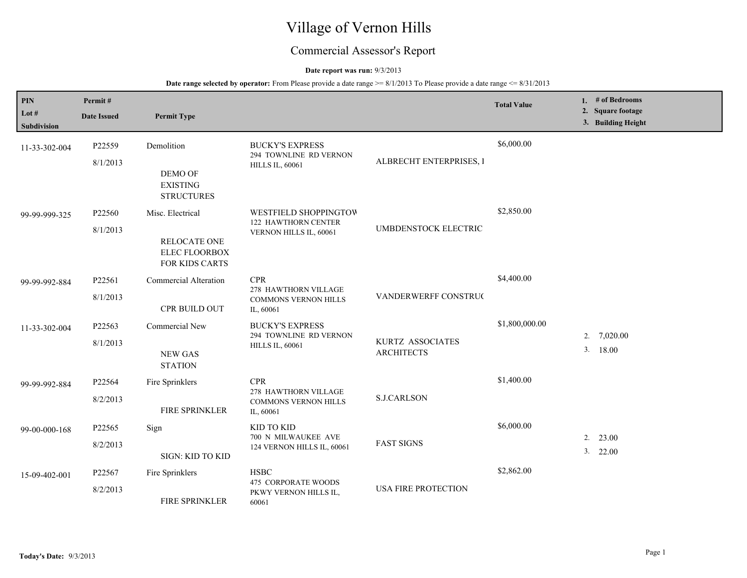# Village of Vernon Hills

## Commercial Assessor's Report

## **Date report was run:** 9/3/2013

| PIN<br>Lot #<br>Subdivision | Permit#<br><b>Date Issued</b> | <b>Permit Type</b>                                                                |                                                                                |                                       | <b>Total Value</b> |          | 1. # of Bedrooms<br>2. Square footage<br>3. Building Height |
|-----------------------------|-------------------------------|-----------------------------------------------------------------------------------|--------------------------------------------------------------------------------|---------------------------------------|--------------------|----------|-------------------------------------------------------------|
| 11-33-302-004               | P22559<br>8/1/2013            | Demolition<br>DEMO OF<br><b>EXISTING</b><br><b>STRUCTURES</b>                     | <b>BUCKY'S EXPRESS</b><br>294 TOWNLINE RD VERNON<br><b>HILLS IL, 60061</b>     | ALBRECHT ENTERPRISES, I               | \$6,000.00         |          |                                                             |
| 99-99-999-325               | P22560<br>8/1/2013            | Misc. Electrical<br><b>RELOCATE ONE</b><br><b>ELEC FLOORBOX</b><br>FOR KIDS CARTS | WESTFIELD SHOPPINGTOW<br><b>122 HAWTHORN CENTER</b><br>VERNON HILLS IL, 60061  | UMBDENSTOCK ELECTRIC                  | \$2,850.00         |          |                                                             |
| 99-99-992-884               | P22561<br>8/1/2013            | Commercial Alteration<br><b>CPR BUILD OUT</b>                                     | <b>CPR</b><br>278 HAWTHORN VILLAGE<br><b>COMMONS VERNON HILLS</b><br>IL, 60061 | VANDERWERFF CONSTRUC                  | \$4,400.00         |          |                                                             |
| 11-33-302-004               | P22563<br>8/1/2013            | Commercial New<br><b>NEW GAS</b><br><b>STATION</b>                                | <b>BUCKY'S EXPRESS</b><br>294 TOWNLINE RD VERNON<br><b>HILLS IL, 60061</b>     | KURTZ ASSOCIATES<br><b>ARCHITECTS</b> | \$1,800,000.00     | 2.<br>3. | 7,020.00<br>18.00                                           |
| 99-99-992-884               | P22564<br>8/2/2013            | Fire Sprinklers<br>FIRE SPRINKLER                                                 | <b>CPR</b><br>278 HAWTHORN VILLAGE<br><b>COMMONS VERNON HILLS</b><br>IL, 60061 | <b>S.J.CARLSON</b>                    | \$1,400.00         |          |                                                             |
| 99-00-000-168               | P22565<br>8/2/2013            | Sign<br>SIGN: KID TO KID                                                          | KID TO KID<br>700 N MILWAUKEE AVE<br>124 VERNON HILLS IL, 60061                | <b>FAST SIGNS</b>                     | \$6,000.00         | 2.       | 23.00<br>3.<br>22.00                                        |
| 15-09-402-001               | P22567<br>8/2/2013            | Fire Sprinklers<br>FIRE SPRINKLER                                                 | <b>HSBC</b><br>475 CORPORATE WOODS<br>PKWY VERNON HILLS IL,<br>60061           | <b>USA FIRE PROTECTION</b>            | \$2,862.00         |          |                                                             |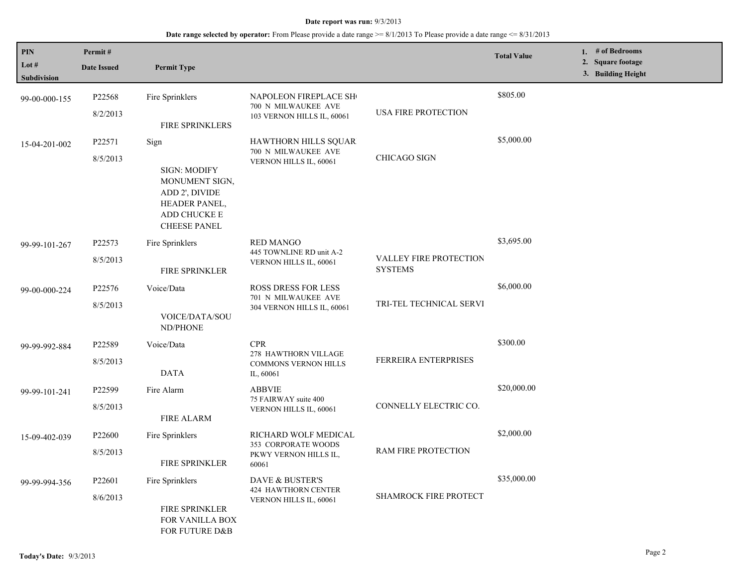| <b>PIN</b><br>Lot #<br><b>Subdivision</b> | Permit#<br><b>Date Issued</b> | <b>Permit Type</b>                                                                                                      |                                                                                |                                          | <b>Total Value</b> | 1. # of Bedrooms<br>2. Square footage<br>3. Building Height |
|-------------------------------------------|-------------------------------|-------------------------------------------------------------------------------------------------------------------------|--------------------------------------------------------------------------------|------------------------------------------|--------------------|-------------------------------------------------------------|
| 99-00-000-155                             | P22568<br>8/2/2013            | Fire Sprinklers<br>FIRE SPRINKLERS                                                                                      | NAPOLEON FIREPLACE SH<br>700 N MILWAUKEE AVE<br>103 VERNON HILLS IL, 60061     | USA FIRE PROTECTION                      | \$805.00           |                                                             |
| 15-04-201-002                             | P22571<br>8/5/2013            | Sign<br><b>SIGN: MODIFY</b><br>MONUMENT SIGN,<br>ADD 2', DIVIDE<br>HEADER PANEL,<br>ADD CHUCKE E<br><b>CHEESE PANEL</b> | HAWTHORN HILLS SQUAR<br>700 N MILWAUKEE AVE<br>VERNON HILLS IL, 60061          | CHICAGO SIGN                             | \$5,000.00         |                                                             |
| 99-99-101-267                             | P22573<br>8/5/2013            | Fire Sprinklers<br>FIRE SPRINKLER                                                                                       | <b>RED MANGO</b><br>445 TOWNLINE RD unit A-2<br>VERNON HILLS IL, 60061         | VALLEY FIRE PROTECTION<br><b>SYSTEMS</b> | \$3,695.00         |                                                             |
| 99-00-000-224                             | P22576<br>8/5/2013            | Voice/Data<br>VOICE/DATA/SOU<br><b>ND/PHONE</b>                                                                         | ROSS DRESS FOR LESS<br>701 N MILWAUKEE AVE<br>304 VERNON HILLS IL, 60061       | TRI-TEL TECHNICAL SERVI                  | \$6,000.00         |                                                             |
| 99-99-992-884                             | P22589<br>8/5/2013            | Voice/Data<br><b>DATA</b>                                                                                               | <b>CPR</b><br>278 HAWTHORN VILLAGE<br><b>COMMONS VERNON HILLS</b><br>IL, 60061 | FERREIRA ENTERPRISES                     | \$300.00           |                                                             |
| 99-99-101-241                             | P22599<br>8/5/2013            | Fire Alarm<br><b>FIRE ALARM</b>                                                                                         | <b>ABBVIE</b><br>75 FAIRWAY suite 400<br>VERNON HILLS IL, 60061                | CONNELLY ELECTRIC CO.                    | \$20,000.00        |                                                             |
| 15-09-402-039                             | P22600<br>8/5/2013            | Fire Sprinklers<br>FIRE SPRINKLER                                                                                       | RICHARD WOLF MEDICAL<br>353 CORPORATE WOODS<br>PKWY VERNON HILLS IL,<br>60061  | RAM FIRE PROTECTION                      | \$2,000.00         |                                                             |
| 99-99-994-356                             | P22601<br>8/6/2013            | Fire Sprinklers<br>FIRE SPRINKLER<br>FOR VANILLA BOX<br>FOR FUTURE D&B                                                  | DAVE & BUSTER'S<br><b>424 HAWTHORN CENTER</b><br>VERNON HILLS IL, 60061        | SHAMROCK FIRE PROTECT                    | \$35,000.00        |                                                             |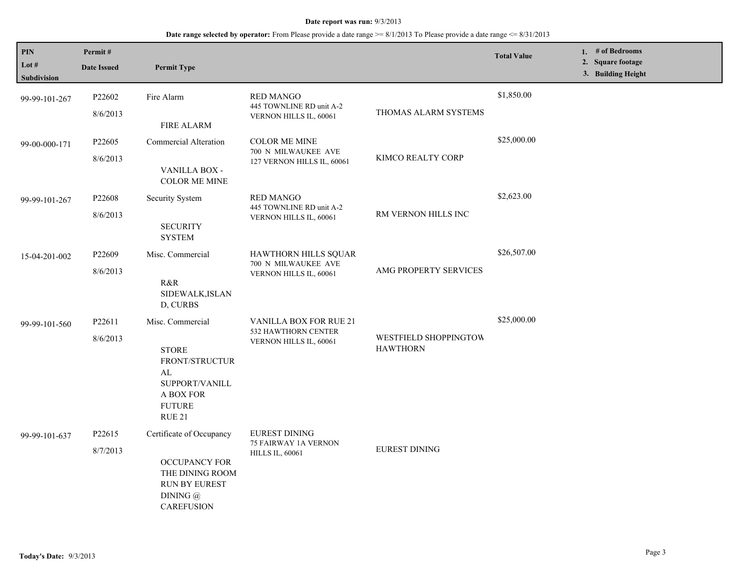| PIN<br>Lot #<br><b>Subdivision</b> | Permit#<br><b>Date Issued</b>  | <b>Permit Type</b>                                                                                                           |                                                                           |                                          | <b>Total Value</b> | 1. $#$ of Bedrooms<br>2. Square footage<br>3. Building Height |
|------------------------------------|--------------------------------|------------------------------------------------------------------------------------------------------------------------------|---------------------------------------------------------------------------|------------------------------------------|--------------------|---------------------------------------------------------------|
| 99-99-101-267                      | P22602<br>8/6/2013             | Fire Alarm<br>FIRE ALARM                                                                                                     | <b>RED MANGO</b><br>445 TOWNLINE RD unit A-2<br>VERNON HILLS IL, 60061    | THOMAS ALARM SYSTEMS                     | \$1,850.00         |                                                               |
| 99-00-000-171                      | P <sub>22605</sub><br>8/6/2013 | Commercial Alteration<br>VANILLA BOX -<br><b>COLOR ME MINE</b>                                                               | <b>COLOR ME MINE</b><br>700 N MILWAUKEE AVE<br>127 VERNON HILLS IL, 60061 | KIMCO REALTY CORP                        | \$25,000.00        |                                                               |
| 99-99-101-267                      | P22608<br>8/6/2013             | Security System<br><b>SECURITY</b><br><b>SYSTEM</b>                                                                          | <b>RED MANGO</b><br>445 TOWNLINE RD unit A-2<br>VERNON HILLS IL, 60061    | RM VERNON HILLS INC                      | \$2,623.00         |                                                               |
| 15-04-201-002                      | P22609<br>8/6/2013             | Misc. Commercial<br>R&R<br>SIDEWALK, ISLAN<br>D, CURBS                                                                       | HAWTHORN HILLS SQUAR<br>700 N MILWAUKEE AVE<br>VERNON HILLS IL, 60061     | AMG PROPERTY SERVICES                    | \$26,507.00        |                                                               |
| 99-99-101-560                      | P22611<br>8/6/2013             | Misc. Commercial<br><b>STORE</b><br>FRONT/STRUCTUR<br>AL<br>SUPPORT/VANILL<br>A BOX FOR<br><b>FUTURE</b><br><b>RUE 21</b>    | VANILLA BOX FOR RUE 21<br>532 HAWTHORN CENTER<br>VERNON HILLS IL, 60061   | WESTFIELD SHOPPINGTOW<br><b>HAWTHORN</b> | \$25,000.00        |                                                               |
| 99-99-101-637                      | P22615<br>8/7/2013             | Certificate of Occupancy<br><b>OCCUPANCY FOR</b><br>THE DINING ROOM<br><b>RUN BY EUREST</b><br>DINING @<br><b>CAREFUSION</b> | <b>EUREST DINING</b><br>75 FAIRWAY 1A VERNON<br><b>HILLS IL, 60061</b>    | <b>EUREST DINING</b>                     |                    |                                                               |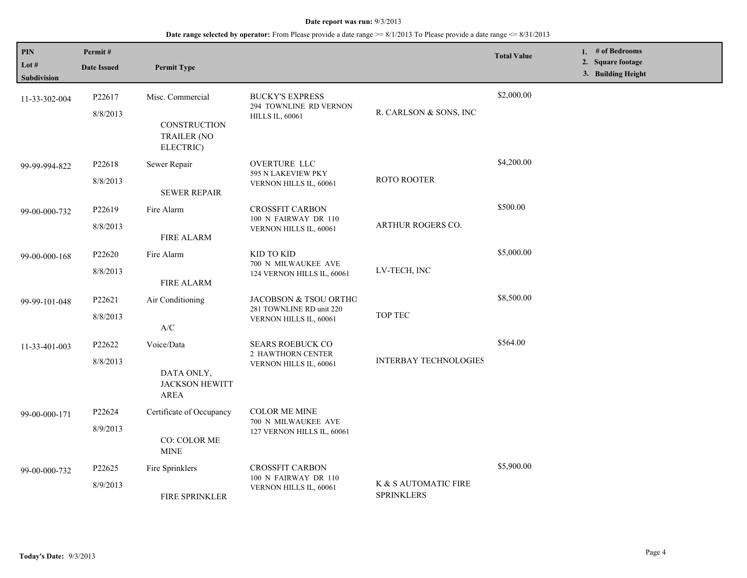| PIN<br>Lot $#$     | Permit#<br><b>Date Issued</b>  | <b>Permit Type</b>                                                         |                                                                             |                                           | <b>Total Value</b> | 1. # of Bedrooms<br>2. Square footage |
|--------------------|--------------------------------|----------------------------------------------------------------------------|-----------------------------------------------------------------------------|-------------------------------------------|--------------------|---------------------------------------|
| <b>Subdivision</b> |                                |                                                                            |                                                                             |                                           |                    | 3. Building Height                    |
| 11-33-302-004      | P22617<br>8/8/2013             | Misc. Commercial<br><b>CONSTRUCTION</b><br><b>TRAILER (NO</b><br>ELECTRIC) | <b>BUCKY'S EXPRESS</b><br>294 TOWNLINE RD VERNON<br><b>HILLS IL, 60061</b>  | R. CARLSON & SONS, INC                    | \$2,000.00         |                                       |
| 99-99-994-822      | P22618<br>8/8/2013             | Sewer Repair<br><b>SEWER REPAIR</b>                                        | OVERTURE LLC<br>595 N LAKEVIEW PKY<br>VERNON HILLS IL, 60061                | <b>ROTO ROOTER</b>                        | \$4,200.00         |                                       |
| 99-00-000-732      | P22619<br>8/8/2013             | Fire Alarm<br><b>FIRE ALARM</b>                                            | <b>CROSSFIT CARBON</b><br>100 N FAIRWAY DR 110<br>VERNON HILLS IL, 60061    | ARTHUR ROGERS CO.                         | \$500.00           |                                       |
| 99-00-000-168      | P <sub>22620</sub><br>8/8/2013 | Fire Alarm<br><b>FIRE ALARM</b>                                            | KID TO KID<br>700 N MILWAUKEE AVE<br>124 VERNON HILLS IL, 60061             | LV-TECH, INC                              | \$5,000.00         |                                       |
| 99-99-101-048      | P22621<br>8/8/2013             | Air Conditioning<br>A/C                                                    | JACOBSON & TSOU ORTHO<br>281 TOWNLINE RD unit 220<br>VERNON HILLS IL, 60061 | TOP TEC                                   | \$8,500.00         |                                       |
| 11-33-401-003      | P22622<br>8/8/2013             | Voice/Data<br>DATA ONLY,<br><b>JACKSON HEWITT</b><br><b>AREA</b>           | <b>SEARS ROEBUCK CO</b><br>2 HAWTHORN CENTER<br>VERNON HILLS IL, 60061      | <b>INTERBAY TECHNOLOGIES</b>              | \$564.00           |                                       |
| 99-00-000-171      | P22624<br>8/9/2013             | Certificate of Occupancy<br>CO: COLOR ME<br><b>MINE</b>                    | <b>COLOR ME MINE</b><br>700 N MILWAUKEE AVE<br>127 VERNON HILLS IL, 60061   |                                           |                    |                                       |
| 99-00-000-732      | P <sub>22625</sub><br>8/9/2013 | Fire Sprinklers<br><b>FIRE SPRINKLER</b>                                   | <b>CROSSFIT CARBON</b><br>100 N FAIRWAY DR 110<br>VERNON HILLS IL, 60061    | K & S AUTOMATIC FIRE<br><b>SPRINKLERS</b> | \$5,900.00         |                                       |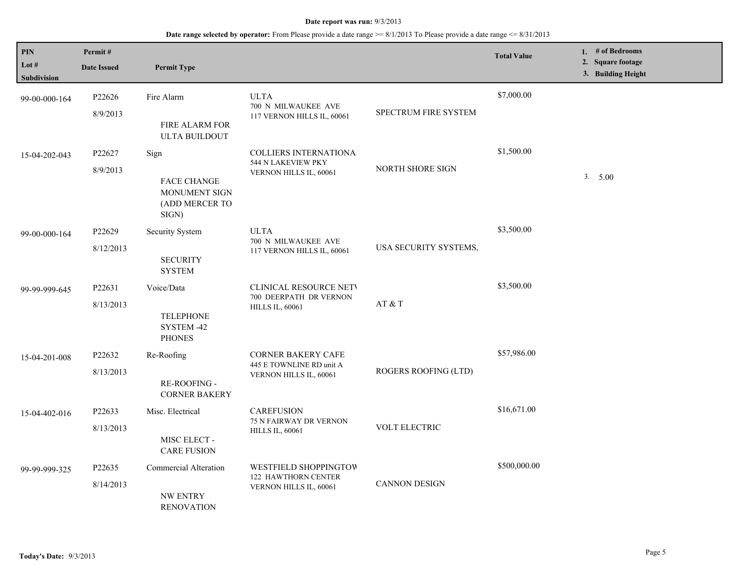| PIN<br>Lot #<br>Subdivision | Permit#<br><b>Date Issued</b> | <b>Permit Type</b>                                                            |                                                                                   |                       | <b>Total Value</b> | 1. # of Bedrooms<br>2. Square footage<br>3. Building Height |
|-----------------------------|-------------------------------|-------------------------------------------------------------------------------|-----------------------------------------------------------------------------------|-----------------------|--------------------|-------------------------------------------------------------|
| 99-00-000-164               | P22626<br>8/9/2013            | Fire Alarm<br><b>FIRE ALARM FOR</b><br><b>ULTA BUILDOUT</b>                   | <b>ULTA</b><br>700 N MILWAUKEE AVE<br>117 VERNON HILLS IL, 60061                  | SPECTRUM FIRE SYSTEM  | \$7,000.00         |                                                             |
| 15-04-202-043               | P22627<br>8/9/2013            | Sign<br><b>FACE CHANGE</b><br><b>MONUMENT SIGN</b><br>(ADD MERCER TO<br>SIGN) | <b>COLLIERS INTERNATIONA</b><br>544 N LAKEVIEW PKY<br>VERNON HILLS IL, 60061      | NORTH SHORE SIGN      | \$1,500.00         | 3. 5.00                                                     |
| 99-00-000-164               | P22629<br>8/12/2013           | <b>Security System</b><br><b>SECURITY</b><br><b>SYSTEM</b>                    | <b>ULTA</b><br>700 N MILWAUKEE AVE<br>117 VERNON HILLS IL, 60061                  | USA SECURITY SYSTEMS, | \$3,500.00         |                                                             |
| 99-99-999-645               | P22631<br>8/13/2013           | Voice/Data<br><b>TELEPHONE</b><br>SYSTEM-42<br><b>PHONES</b>                  | <b>CLINICAL RESOURCE NETV</b><br>700 DEERPATH DR VERNON<br><b>HILLS IL, 60061</b> | AT $\&$ T             | \$3,500.00         |                                                             |
| 15-04-201-008               | P22632<br>8/13/2013           | Re-Roofing<br>RE-ROOFING -<br><b>CORNER BAKERY</b>                            | <b>CORNER BAKERY CAFE</b><br>445 E TOWNLINE RD unit A<br>VERNON HILLS IL, 60061   | ROGERS ROOFING (LTD)  | \$57,986.00        |                                                             |
| 15-04-402-016               | P22633<br>8/13/2013           | Misc. Electrical<br>MISC ELECT -<br><b>CARE FUSION</b>                        | <b>CAREFUSION</b><br>75 N FAIRWAY DR VERNON<br><b>HILLS IL, 60061</b>             | VOLT ELECTRIC         | \$16,671.00        |                                                             |
| 99-99-999-325               | P22635<br>8/14/2013           | Commercial Alteration<br><b>NW ENTRY</b><br><b>RENOVATION</b>                 | WESTFIELD SHOPPINGTOW<br><b>122 HAWTHORN CENTER</b><br>VERNON HILLS IL, 60061     | <b>CANNON DESIGN</b>  | \$500,000.00       |                                                             |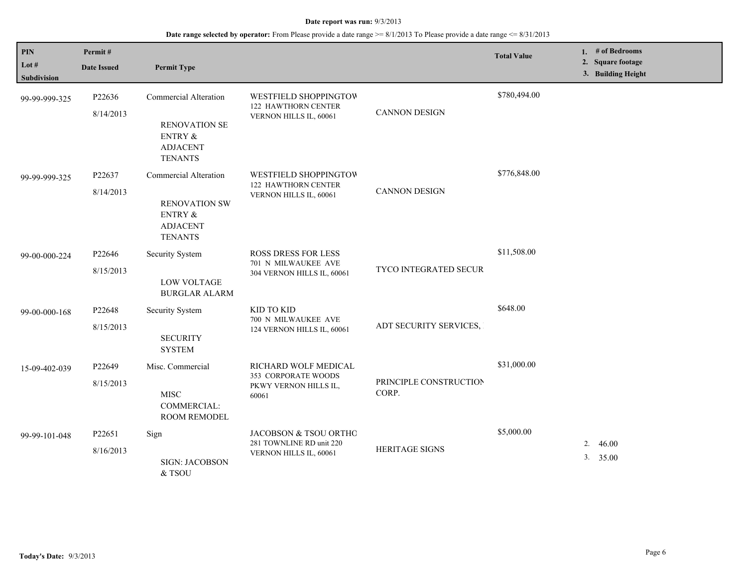| <b>PIN</b><br>Lot $#$<br>Subdivision | Permit#<br><b>Date Issued</b>   | <b>Permit Type</b>                                                                                              |                                                                                 |                                 | <b>Total Value</b> | 1. # of Bedrooms<br>2. Square footage<br>3. Building Height |
|--------------------------------------|---------------------------------|-----------------------------------------------------------------------------------------------------------------|---------------------------------------------------------------------------------|---------------------------------|--------------------|-------------------------------------------------------------|
| 99-99-999-325                        | P22636<br>8/14/2013             | <b>Commercial Alteration</b><br><b>RENOVATION SE</b><br>ENTRY &<br><b>ADJACENT</b><br><b>TENANTS</b>            | WESTFIELD SHOPPINGTOW<br>122 HAWTHORN CENTER<br>VERNON HILLS IL, 60061          | <b>CANNON DESIGN</b>            | \$780,494.00       |                                                             |
| 99-99-999-325                        | P22637<br>8/14/2013             | <b>Commercial Alteration</b><br><b>RENOVATION SW</b><br><b>ENTRY &amp;</b><br><b>ADJACENT</b><br><b>TENANTS</b> | WESTFIELD SHOPPINGTOW<br>122 HAWTHORN CENTER<br>VERNON HILLS IL, 60061          | <b>CANNON DESIGN</b>            | \$776,848.00       |                                                             |
| 99-00-000-224                        | P22646<br>8/15/2013             | Security System<br><b>LOW VOLTAGE</b><br><b>BURGLAR ALARM</b>                                                   | <b>ROSS DRESS FOR LESS</b><br>701 N MILWAUKEE AVE<br>304 VERNON HILLS IL, 60061 | TYCO INTEGRATED SECUR           | \$11,508.00        |                                                             |
| 99-00-000-168                        | P22648<br>8/15/2013             | Security System<br><b>SECURITY</b><br><b>SYSTEM</b>                                                             | KID TO KID<br>700 N MILWAUKEE AVE<br>124 VERNON HILLS IL, 60061                 | ADT SECURITY SERVICES,          | \$648.00           |                                                             |
| 15-09-402-039                        | P <sub>22649</sub><br>8/15/2013 | Misc. Commercial<br><b>MISC</b><br>COMMERCIAL:<br>ROOM REMODEL                                                  | RICHARD WOLF MEDICAL<br>353 CORPORATE WOODS<br>PKWY VERNON HILLS IL,<br>60061   | PRINCIPLE CONSTRUCTION<br>CORP. | \$31,000.00        |                                                             |
| 99-99-101-048                        | P22651<br>8/16/2013             | Sign<br><b>SIGN: JACOBSON</b><br>& TSOU                                                                         | JACOBSON & TSOU ORTHO<br>281 TOWNLINE RD unit 220<br>VERNON HILLS IL, 60061     | <b>HERITAGE SIGNS</b>           | \$5,000.00         | 46.00<br>2.<br>3. 35.00                                     |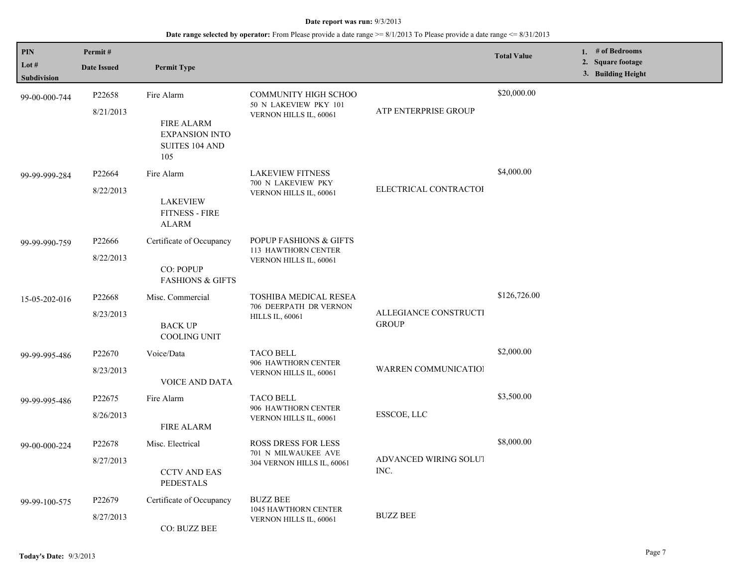| <b>PIN</b>             | Permit#             |                                                          |                                                                                           |                               | <b>Total Value</b> | 1. $#$ of Bedrooms                      |
|------------------------|---------------------|----------------------------------------------------------|-------------------------------------------------------------------------------------------|-------------------------------|--------------------|-----------------------------------------|
| Lot $#$<br>Subdivision | <b>Date Issued</b>  | <b>Permit Type</b>                                       |                                                                                           |                               |                    | 2. Square footage<br>3. Building Height |
| 99-00-000-744          | P22658<br>8/21/2013 | Fire Alarm<br><b>FIRE ALARM</b>                          | <b>COMMUNITY HIGH SCHOO</b><br>50 N LAKEVIEW PKY 101<br>VERNON HILLS IL, 60061            | ATP ENTERPRISE GROUP          | \$20,000.00        |                                         |
|                        |                     | <b>EXPANSION INTO</b><br>SUITES 104 AND<br>105           |                                                                                           |                               |                    |                                         |
| 99-99-999-284          | P22664              | Fire Alarm                                               | <b>LAKEVIEW FITNESS</b><br>700 N LAKEVIEW PKY                                             |                               | \$4,000.00         |                                         |
|                        | 8/22/2013           | <b>LAKEVIEW</b><br><b>FITNESS - FIRE</b><br><b>ALARM</b> | VERNON HILLS IL, 60061                                                                    | ELECTRICAL CONTRACTOI         |                    |                                         |
| 99-99-990-759          | P22666              | Certificate of Occupancy                                 | POPUP FASHIONS & GIFTS<br>113 HAWTHORN CENTER<br>VERNON HILLS IL, 60061                   |                               |                    |                                         |
|                        | 8/22/2013           | CO: POPUP<br><b>FASHIONS &amp; GIFTS</b>                 |                                                                                           |                               |                    |                                         |
| 15-05-202-016          | P22668              | Misc. Commercial                                         | TOSHIBA MEDICAL RESEA<br>706 DEERPATH DR VERNON<br><b>HILLS IL, 60061</b><br><b>GROUP</b> |                               | \$126,726.00       |                                         |
|                        | 8/23/2013           | <b>BACK UP</b><br><b>COOLING UNIT</b>                    |                                                                                           | ALLEGIANCE CONSTRUCTI         |                    |                                         |
| 99-99-995-486          | P22670              | Voice/Data                                               | <b>TACO BELL</b><br>906 HAWTHORN CENTER                                                   | WARREN COMMUNICATIOI          | \$2,000.00         |                                         |
|                        | 8/23/2013           | <b>VOICE AND DATA</b>                                    | VERNON HILLS IL, 60061                                                                    |                               |                    |                                         |
| 99-99-995-486          | P22675              | Fire Alarm                                               | <b>TACO BELL</b><br>906 HAWTHORN CENTER                                                   |                               | \$3,500.00         |                                         |
|                        | 8/26/2013           | <b>FIRE ALARM</b>                                        | VERNON HILLS IL, 60061                                                                    | ESSCOE, LLC                   |                    |                                         |
| 99-00-000-224          | P22678              | Misc. Electrical                                         | <b>ROSS DRESS FOR LESS</b><br>701 N MILWAUKEE AVE                                         |                               | \$8,000.00         |                                         |
|                        | 8/27/2013           | <b>CCTV AND EAS</b><br><b>PEDESTALS</b>                  | 304 VERNON HILLS IL, 60061                                                                | ADVANCED WIRING SOLUT<br>INC. |                    |                                         |
| 99-99-100-575          | P22679              | Certificate of Occupancy                                 | <b>BUZZ BEE</b><br>1045 HAWTHORN CENTER                                                   |                               |                    |                                         |
|                        | 8/27/2013           | <b>CO: BUZZ BEE</b>                                      | VERNON HILLS IL, 60061                                                                    | <b>BUZZ BEE</b>               |                    |                                         |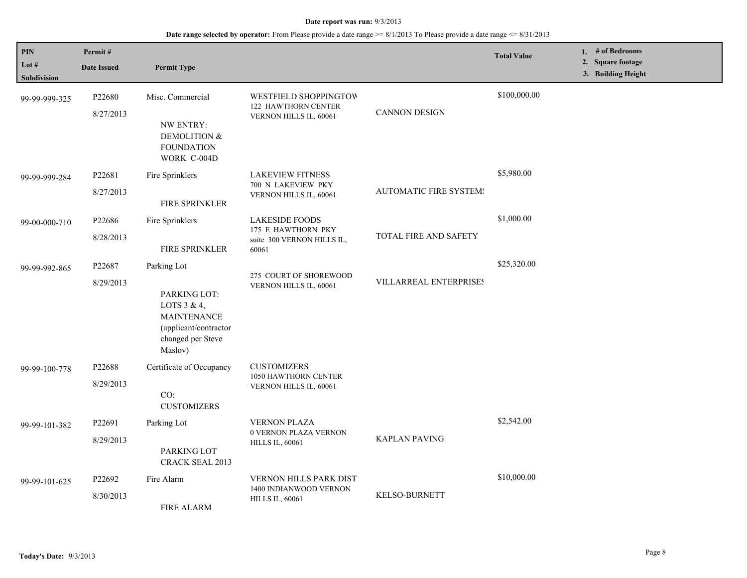| <b>PIN</b><br>Lot $#$ | Permit#<br><b>Date Issued</b>                                                                                           | <b>Permit Type</b>                                            |                                                           |                               | <b>Total Value</b> | 1. # of Bedrooms<br>2. Square footage |
|-----------------------|-------------------------------------------------------------------------------------------------------------------------|---------------------------------------------------------------|-----------------------------------------------------------|-------------------------------|--------------------|---------------------------------------|
| <b>Subdivision</b>    |                                                                                                                         |                                                               |                                                           |                               |                    | 3. Building Height                    |
| 99-99-999-325         | P22680                                                                                                                  | Misc. Commercial                                              | WESTFIELD SHOPPINGTOW<br><b>122 HAWTHORN CENTER</b>       |                               | \$100,000.00       |                                       |
|                       | 8/27/2013                                                                                                               | NW ENTRY:<br>DEMOLITION &<br><b>FOUNDATION</b><br>WORK C-004D | VERNON HILLS IL, 60061                                    | <b>CANNON DESIGN</b>          |                    |                                       |
| 99-99-999-284         | P <sub>22681</sub>                                                                                                      | Fire Sprinklers                                               | <b>LAKEVIEW FITNESS</b>                                   |                               | \$5,980.00         |                                       |
|                       | 8/27/2013                                                                                                               | <b>FIRE SPRINKLER</b>                                         | 700 N LAKEVIEW PKY<br>VERNON HILLS IL, 60061              | <b>AUTOMATIC FIRE SYSTEM:</b> |                    |                                       |
| 99-00-000-710         | P22686                                                                                                                  | Fire Sprinklers                                               | <b>LAKESIDE FOODS</b>                                     | <b>TOTAL FIRE AND SAFETY</b>  | \$1,000.00         |                                       |
|                       | 8/28/2013                                                                                                               | FIRE SPRINKLER                                                | 175 E HAWTHORN PKY<br>suite 300 VERNON HILLS IL,<br>60061 |                               |                    |                                       |
| 99-99-992-865         | P22687                                                                                                                  | Parking Lot                                                   |                                                           |                               | \$25,320.00        |                                       |
|                       | 8/29/2013<br>PARKING LOT:<br>LOTS 3 & 4,<br><b>MAINTENANCE</b><br>(applicant/contractor<br>changed per Steve<br>Maslov) | 275 COURT OF SHOREWOOD<br>VERNON HILLS IL, 60061              | VILLARREAL ENTERPRISES                                    |                               |                    |                                       |
| 99-99-100-778         | P <sub>22688</sub>                                                                                                      | Certificate of Occupancy                                      | <b>CUSTOMIZERS</b><br>1050 HAWTHORN CENTER                |                               |                    |                                       |
|                       | 8/29/2013                                                                                                               | CO:<br><b>CUSTOMIZERS</b>                                     | VERNON HILLS IL, 60061                                    |                               |                    |                                       |
| 99-99-101-382         | P22691                                                                                                                  | Parking Lot                                                   | <b>VERNON PLAZA</b>                                       |                               | \$2,542.00         |                                       |
|                       | 8/29/2013                                                                                                               | PARKING LOT<br>CRACK SEAL 2013                                | 0 VERNON PLAZA VERNON<br><b>HILLS IL, 60061</b>           | <b>KAPLAN PAVING</b>          |                    |                                       |
| 99-99-101-625         | P22692                                                                                                                  | Fire Alarm                                                    | <b>VERNON HILLS PARK DIST</b>                             |                               | \$10,000.00        |                                       |
|                       | 8/30/2013                                                                                                               | <b>FIRE ALARM</b>                                             | 1400 INDIANWOOD VERNON<br><b>HILLS IL, 60061</b>          | KELSO-BURNETT                 |                    |                                       |